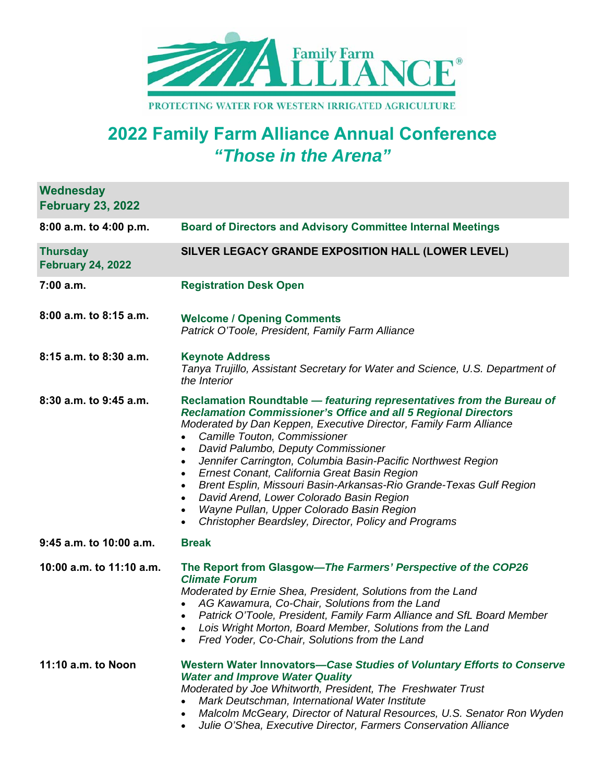

## **2022 Family Farm Alliance Annual Conference**  *"Those in the Arena"*

**Wednesday** 

| <b>February 23, 2022</b>                    |                                                                                                                                                                                                                                                                                                                                                                                                                                                                                                                                                                                                                                                                                                                |
|---------------------------------------------|----------------------------------------------------------------------------------------------------------------------------------------------------------------------------------------------------------------------------------------------------------------------------------------------------------------------------------------------------------------------------------------------------------------------------------------------------------------------------------------------------------------------------------------------------------------------------------------------------------------------------------------------------------------------------------------------------------------|
| 8:00 a.m. to 4:00 p.m.                      | <b>Board of Directors and Advisory Committee Internal Meetings</b>                                                                                                                                                                                                                                                                                                                                                                                                                                                                                                                                                                                                                                             |
| <b>Thursday</b><br><b>February 24, 2022</b> | SILVER LEGACY GRANDE EXPOSITION HALL (LOWER LEVEL)                                                                                                                                                                                                                                                                                                                                                                                                                                                                                                                                                                                                                                                             |
| 7:00 a.m.                                   | <b>Registration Desk Open</b>                                                                                                                                                                                                                                                                                                                                                                                                                                                                                                                                                                                                                                                                                  |
| 8:00 a.m. to 8:15 a.m.                      | <b>Welcome / Opening Comments</b><br>Patrick O'Toole, President, Family Farm Alliance                                                                                                                                                                                                                                                                                                                                                                                                                                                                                                                                                                                                                          |
| 8:15 a.m. to 8:30 a.m.                      | <b>Keynote Address</b><br>Tanya Trujillo, Assistant Secretary for Water and Science, U.S. Department of<br>the Interior                                                                                                                                                                                                                                                                                                                                                                                                                                                                                                                                                                                        |
| 8:30 a.m. to 9:45 a.m.                      | Reclamation Roundtable - featuring representatives from the Bureau of<br><b>Reclamation Commissioner's Office and all 5 Regional Directors</b><br>Moderated by Dan Keppen, Executive Director, Family Farm Alliance<br>Camille Touton, Commissioner<br>David Palumbo, Deputy Commissioner<br>$\bullet$<br>Jennifer Carrington, Columbia Basin-Pacific Northwest Region<br>$\bullet$<br>Ernest Conant, California Great Basin Region<br>$\bullet$<br>Brent Esplin, Missouri Basin-Arkansas-Rio Grande-Texas Gulf Region<br>$\bullet$<br>David Arend, Lower Colorado Basin Region<br>$\bullet$<br>Wayne Pullan, Upper Colorado Basin Region<br>$\bullet$<br>Christopher Beardsley, Director, Policy and Programs |
| 9:45 a.m. to 10:00 a.m.                     | <b>Break</b>                                                                                                                                                                                                                                                                                                                                                                                                                                                                                                                                                                                                                                                                                                   |
| 10:00 a.m. to 11:10 a.m.                    | The Report from Glasgow-The Farmers' Perspective of the COP26<br><b>Climate Forum</b><br>Moderated by Ernie Shea, President, Solutions from the Land<br>AG Kawamura, Co-Chair, Solutions from the Land<br>Patrick O'Toole, President, Family Farm Alliance and SfL Board Member<br>$\bullet$<br>Lois Wright Morton, Board Member, Solutions from the Land<br>$\bullet$<br>Fred Yoder, Co-Chair, Solutions from the Land                                                                                                                                                                                                                                                                                        |
| 11:10 a.m. to Noon                          | Western Water Innovators-Case Studies of Voluntary Efforts to Conserve<br><b>Water and Improve Water Quality</b><br>Moderated by Joe Whitworth, President, The Freshwater Trust<br>Mark Deutschman, International Water Institute<br>Malcolm McGeary, Director of Natural Resources, U.S. Senator Ron Wyden                                                                                                                                                                                                                                                                                                                                                                                                    |

*Julie O'Shea, Executive Director, Farmers Conservation Alliance*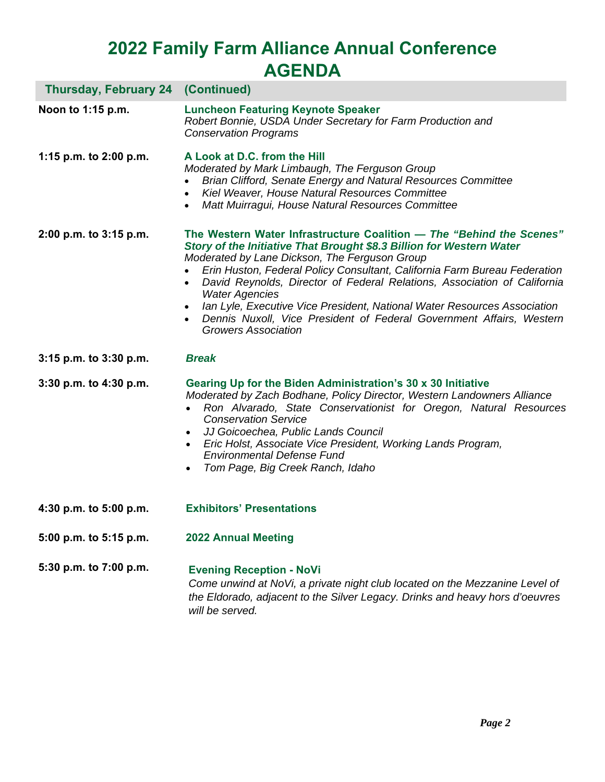## **2022 Family Farm Alliance Annual Conference AGENDA**

| <b>Thursday, February 24 (Continued)</b> |                                                                                                                                                                                                                                                                                                                                                                                                                                                                                                                                                                   |
|------------------------------------------|-------------------------------------------------------------------------------------------------------------------------------------------------------------------------------------------------------------------------------------------------------------------------------------------------------------------------------------------------------------------------------------------------------------------------------------------------------------------------------------------------------------------------------------------------------------------|
| Noon to 1:15 p.m.                        | <b>Luncheon Featuring Keynote Speaker</b><br>Robert Bonnie, USDA Under Secretary for Farm Production and<br><b>Conservation Programs</b>                                                                                                                                                                                                                                                                                                                                                                                                                          |
| 1:15 p.m. to 2:00 p.m.                   | A Look at D.C. from the Hill<br>Moderated by Mark Limbaugh, The Ferguson Group<br>Brian Clifford, Senate Energy and Natural Resources Committee<br>Kiel Weaver, House Natural Resources Committee<br>Matt Muirragui, House Natural Resources Committee                                                                                                                                                                                                                                                                                                            |
| 2:00 p.m. to 3:15 p.m.                   | The Western Water Infrastructure Coalition - The "Behind the Scenes"<br>Story of the Initiative That Brought \$8.3 Billion for Western Water<br>Moderated by Lane Dickson, The Ferguson Group<br>Erin Huston, Federal Policy Consultant, California Farm Bureau Federation<br>David Reynolds, Director of Federal Relations, Association of California<br><b>Water Agencies</b><br>Ian Lyle, Executive Vice President, National Water Resources Association<br>Dennis Nuxoll, Vice President of Federal Government Affairs, Western<br><b>Growers Association</b> |
| 3:15 p.m. to 3:30 p.m.                   | <b>Break</b>                                                                                                                                                                                                                                                                                                                                                                                                                                                                                                                                                      |
| 3:30 p.m. to 4:30 p.m.                   | Gearing Up for the Biden Administration's 30 x 30 Initiative<br>Moderated by Zach Bodhane, Policy Director, Western Landowners Alliance<br>Ron Alvarado, State Conservationist for Oregon, Natural Resources<br><b>Conservation Service</b><br>JJ Goicoechea, Public Lands Council<br>Eric Holst, Associate Vice President, Working Lands Program,<br>$\bullet$<br><b>Environmental Defense Fund</b><br>Tom Page, Big Creek Ranch, Idaho<br>$\bullet$                                                                                                             |
| 4:30 p.m. to 5:00 p.m.                   | <b>Exhibitors' Presentations</b>                                                                                                                                                                                                                                                                                                                                                                                                                                                                                                                                  |
| 5:00 p.m. to 5:15 p.m.                   | <b>2022 Annual Meeting</b>                                                                                                                                                                                                                                                                                                                                                                                                                                                                                                                                        |
| 5:30 p.m. to 7:00 p.m.                   | <b>Evening Reception - NoVi</b><br>Come unwind at NoVi, a private night club located on the Mezzanine Level of<br>the Eldorado, adjacent to the Silver Legacy. Drinks and heavy hors d'oeuvres                                                                                                                                                                                                                                                                                                                                                                    |

*will be served.*